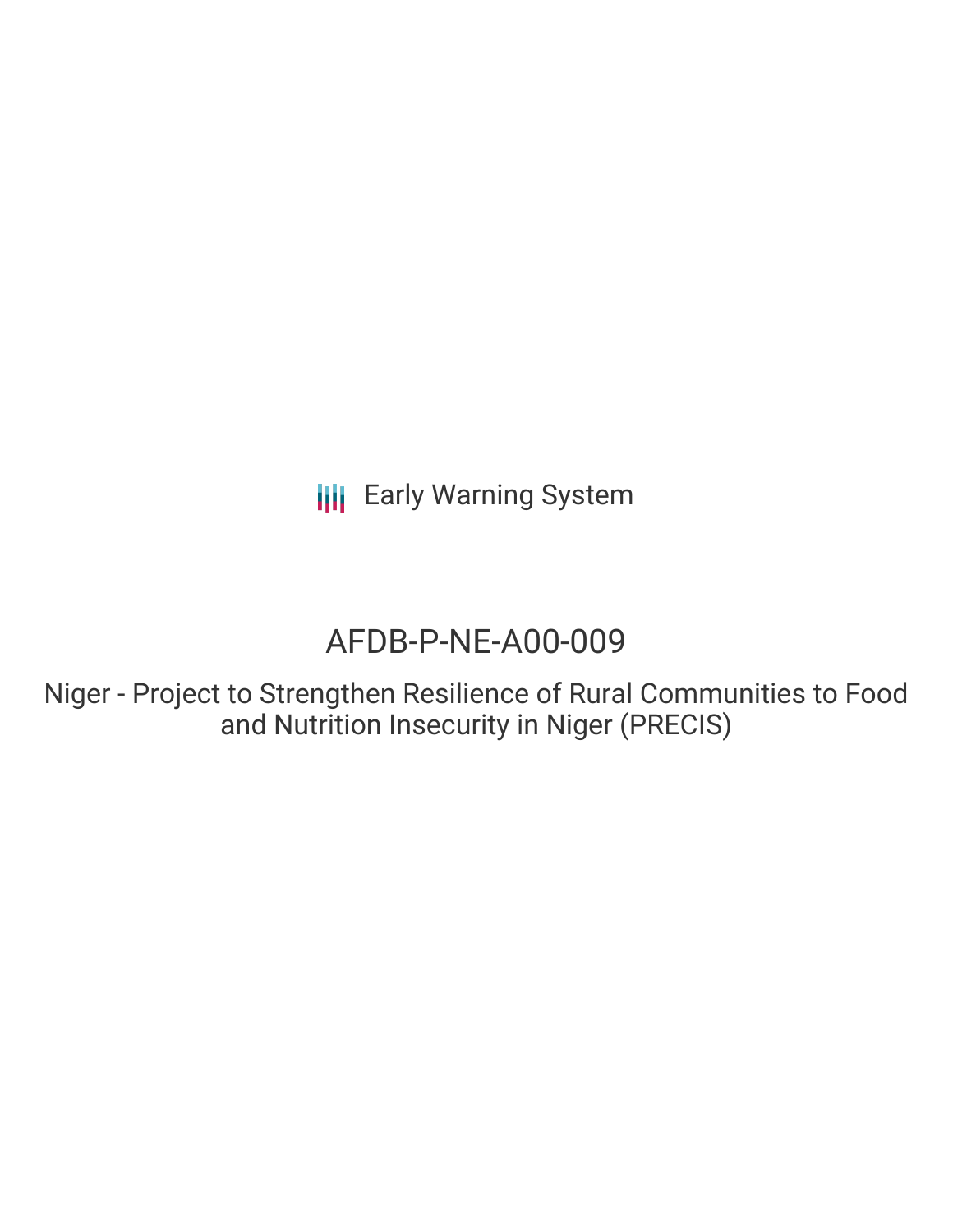# AFDB-P-NE-A00-009

Niger - Project to Strengthen Resilience of Rural Communities to Food and Nutrition Insecurity in Niger (PRECIS)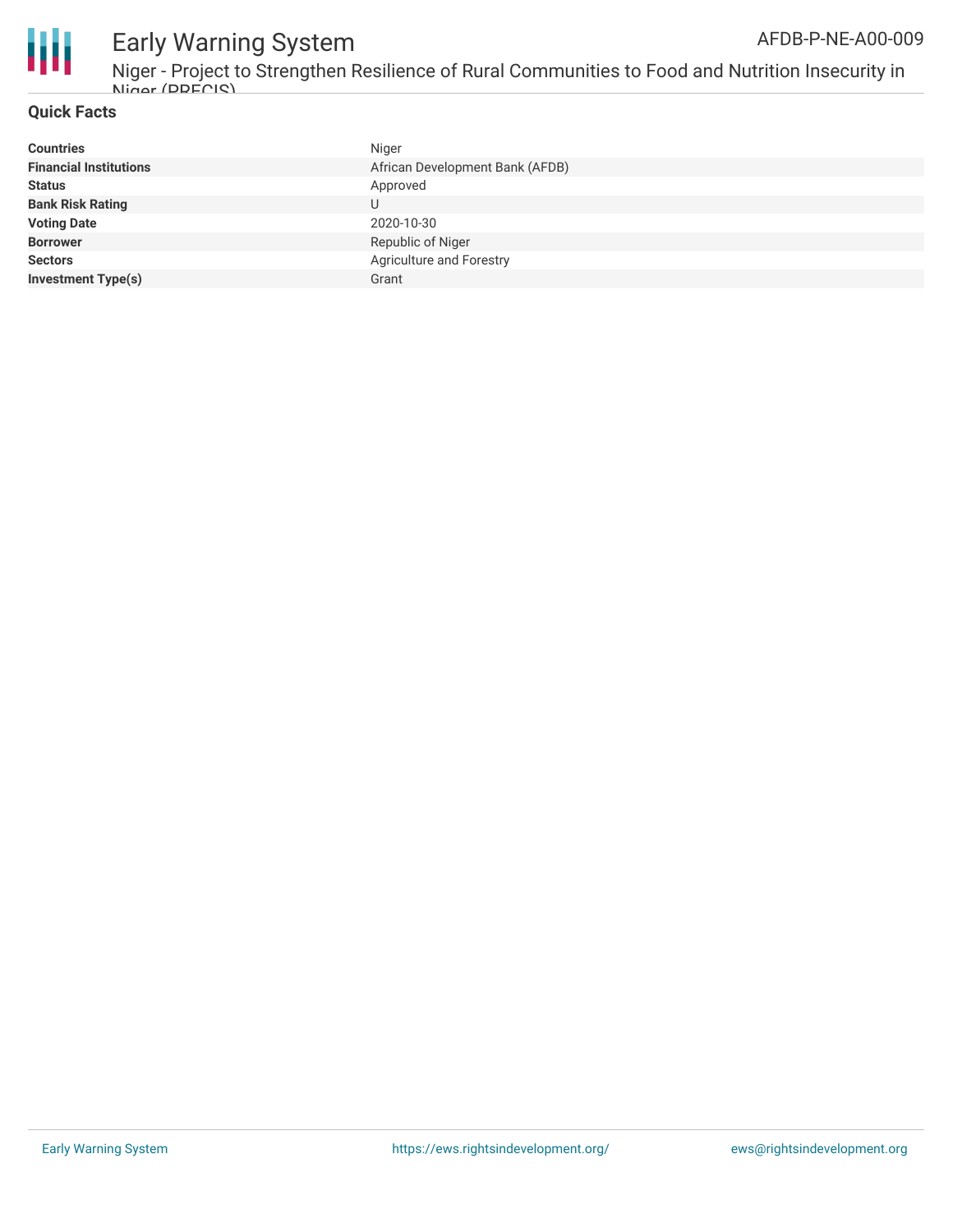

Niger - Project to Strengthen Resilience of Rural Communities to Food and Nutrition Insecurity in Nin<mark>gr *(DDECIS*)</mark><br>ا

### **Quick Facts**

| <b>Financial Institutions</b><br>African Development Bank (AFDB)<br><b>Status</b> |
|-----------------------------------------------------------------------------------|
|                                                                                   |
| Approved                                                                          |
| <b>Bank Risk Rating</b>                                                           |
| <b>Voting Date</b><br>2020-10-30                                                  |
| <b>Borrower</b><br>Republic of Niger                                              |
| Agriculture and Forestry<br><b>Sectors</b>                                        |
| <b>Investment Type(s)</b><br>Grant                                                |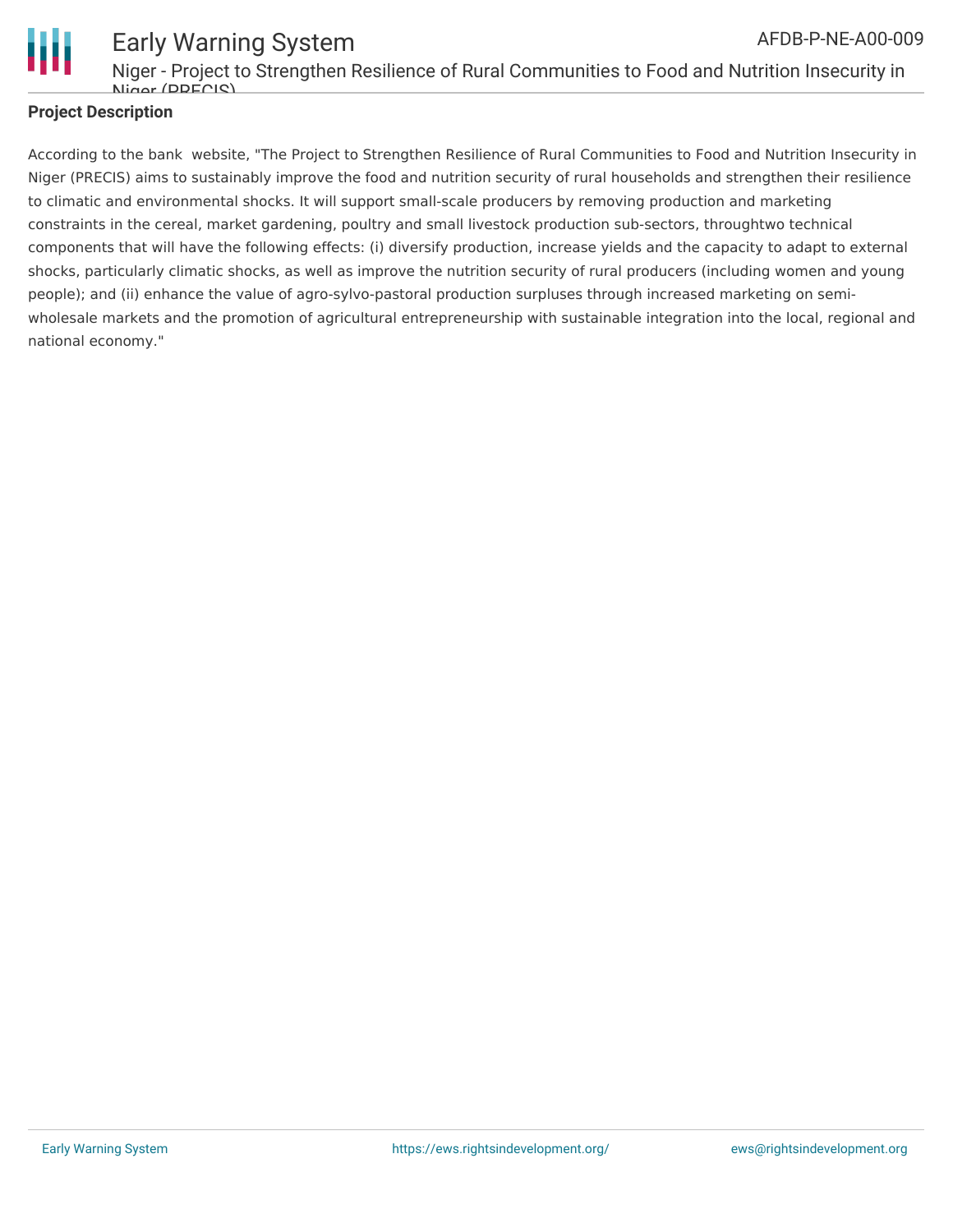

Early Warning System Niger - Project to Strengthen Resilience of Rural Communities to Food and Nutrition Insecurity in Niger (DDECIS) AFDB-P-NE-A00-009

### **Project Description**

According to the bank website, "The Project to Strengthen Resilience of Rural Communities to Food and Nutrition Insecurity in Niger (PRECIS) aims to sustainably improve the food and nutrition security of rural households and strengthen their resilience to climatic and environmental shocks. It will support small-scale producers by removing production and marketing constraints in the cereal, market gardening, poultry and small livestock production sub-sectors, throughtwo technical components that will have the following effects: (i) diversify production, increase yields and the capacity to adapt to external shocks, particularly climatic shocks, as well as improve the nutrition security of rural producers (including women and young people); and (ii) enhance the value of agro-sylvo-pastoral production surpluses through increased marketing on semiwholesale markets and the promotion of agricultural entrepreneurship with sustainable integration into the local, regional and national economy."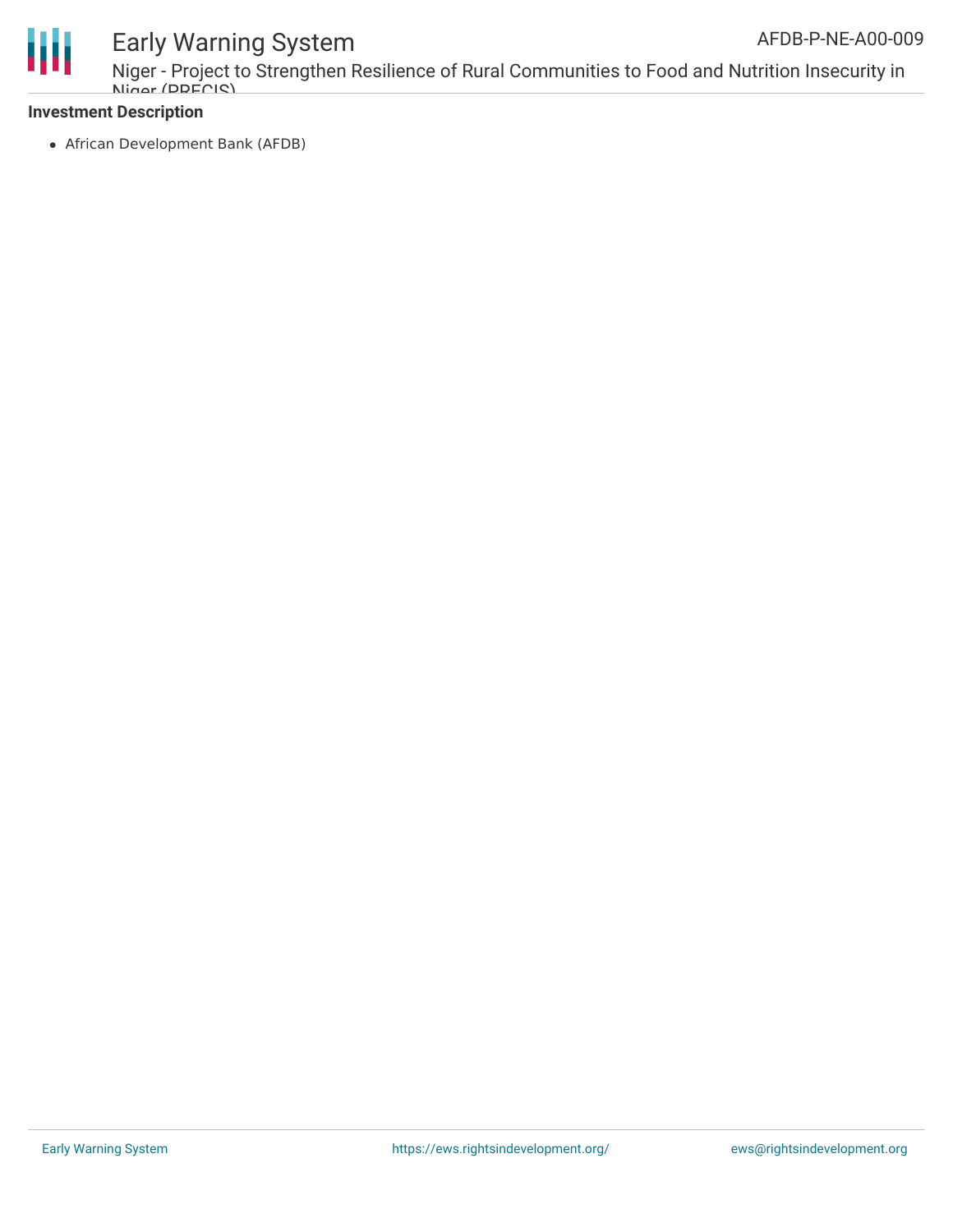

Niger - Project to Strengthen Resilience of Rural Communities to Food and Nutrition Insecurity in Niger (DDECIS)

#### **Investment Description**

African Development Bank (AFDB)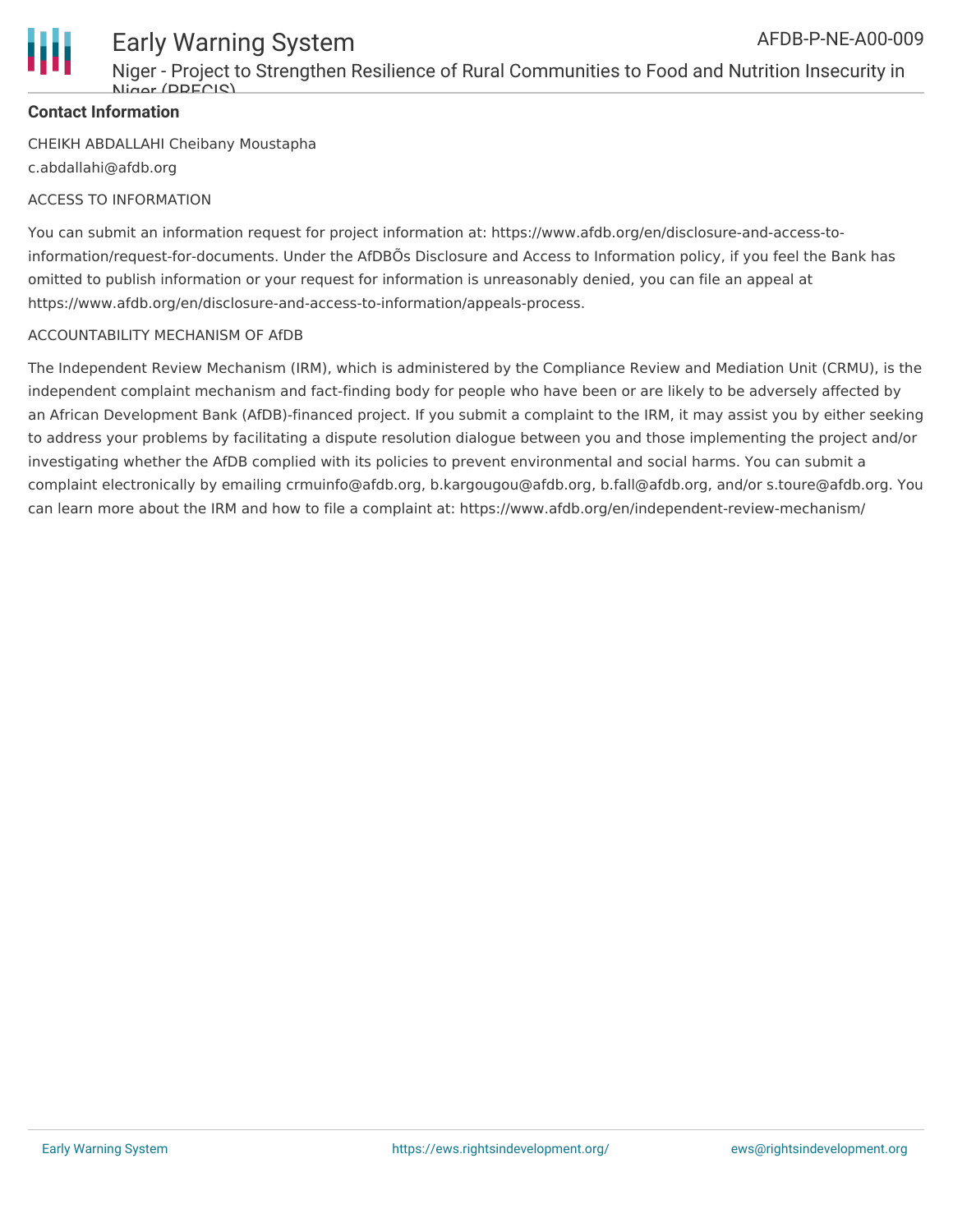

Niger - Project to Strengthen Resilience of Rural Communities to Food and Nutrition Insecurity in Niger (DDECIS)

### **Contact Information**

CHEIKH ABDALLAHI Cheibany Moustapha c.abdallahi@afdb.org

### ACCESS TO INFORMATION

You can submit an information request for project information at: https://www.afdb.org/en/disclosure-and-access-toinformation/request-for-documents. Under the AfDBÕs Disclosure and Access to Information policy, if you feel the Bank has omitted to publish information or your request for information is unreasonably denied, you can file an appeal at https://www.afdb.org/en/disclosure-and-access-to-information/appeals-process.

#### ACCOUNTABILITY MECHANISM OF AfDB

The Independent Review Mechanism (IRM), which is administered by the Compliance Review and Mediation Unit (CRMU), is the independent complaint mechanism and fact-finding body for people who have been or are likely to be adversely affected by an African Development Bank (AfDB)-financed project. If you submit a complaint to the IRM, it may assist you by either seeking to address your problems by facilitating a dispute resolution dialogue between you and those implementing the project and/or investigating whether the AfDB complied with its policies to prevent environmental and social harms. You can submit a complaint electronically by emailing crmuinfo@afdb.org, b.kargougou@afdb.org, b.fall@afdb.org, and/or s.toure@afdb.org. You can learn more about the IRM and how to file a complaint at: https://www.afdb.org/en/independent-review-mechanism/